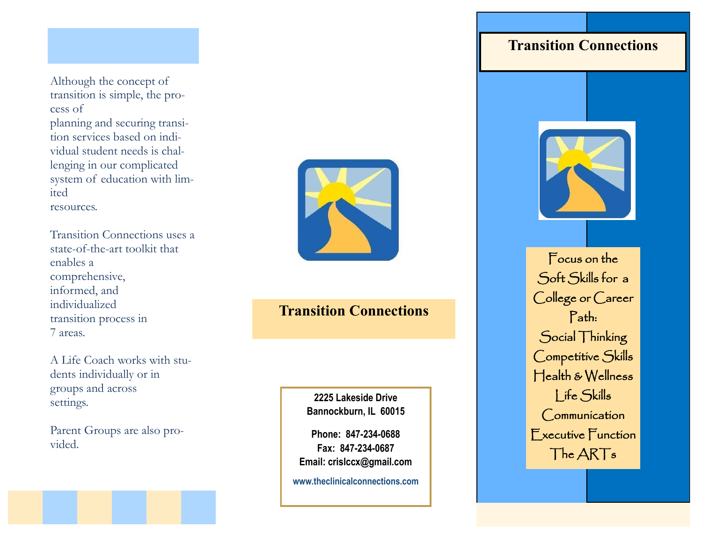Although the concept of transition is simple, the process of planning and securing transition services based on individual student needs is challenging in our complicated system of education with limited resources.

Transition Connections uses a state-of-the-art toolkit that enables a comprehensive, informed, and individualized transition process in 7 areas.

A Life Coach works with students individually or in groups and across settings.

Parent Groups are also provided.



#### **Transition Connections**

**2225 Lakeside Drive Bannockburn, IL 60015**

**Phone: 847-234-0688 Fax: 847-234-0687 Email: crislccx@gmail.com**

**www.theclinicalconnections.com**

### **Transition Connections**



Focus on the Soft Skills for a College or Career Path: Social Thinking Competitive Skills Health & Wellness Life Skills **Communication** Executive Function The ARTs